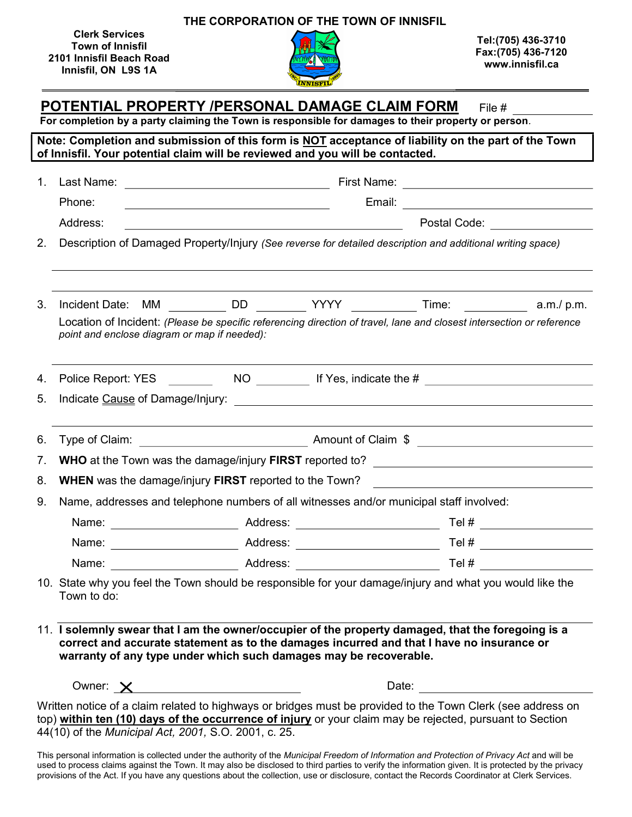Clerk Services Town of Innisfil 2101 Innisfil Beach Road Innisfil, ON L9S 1A

THE CORPORATION OF THE TOWN OF INNISFIL

Tel:(705) 436-3710 Fax:(705) 436-7120 www.innisfil.ca

## POTENTIAL PROPERTY /PERSONAL DAMAGE CLAIM FORM File #

For completion by a party claiming the Town is responsible for damages to their property or person.

Note: Completion and submission of this form is NOT acceptance of liability on the part of the Town of Innisfil. Your potential claim will be reviewed and you will be contacted. 1. Last Name: First Name: Phone: Email: Address: Postal Code: 2. Description of Damaged Property/Injury (See reverse for detailed description and additional writing space) 3. Incident Date:  $MM$   $\qquad \qquad$ DD  $\qquad \qquad$ YYYY  $\qquad \qquad$ Time:  $\qquad \qquad$  a.m./ p.m. Location of Incident: (Please be specific referencing direction of travel, lane and closest intersection or reference point and enclose diagram or map if needed): 4. Police Report: YES NO If Yes, indicate the # 5. Indicate Cause of Damage/Injury: 6. Type of Claim: Amount of Claim \$ 7. WHO at the Town was the damage/injury FIRST reported to? \_\_\_\_\_\_\_\_\_\_\_\_\_\_\_\_\_\_\_\_

8. **WHEN** was the damage/injury FIRST reported to the Town?

9. Name, addresses and telephone numbers of all witnesses and/or municipal staff involved:

| Name: | Address: | Tel # |
|-------|----------|-------|
| Name: | Address: | Tel # |
| Name: | Address: | Tel # |

10. State why you feel the Town should be responsible for your damage/injury and what you would like the Town to do:

11. I solemnly swear that I am the owner/occupier of the property damaged, that the foregoing is a correct and accurate statement as to the damages incurred and that I have no insurance or warranty of any type under which such damages may be recoverable.

Owner:  $\times$  Date:

Written notice of a claim related to highways or bridges must be provided to the Town Clerk (see address on top) within ten (10) days of the occurrence of injury or your claim may be rejected, pursuant to Section 44(10) of the Municipal Act, 2001, S.O. 2001, c. 25.

This personal information is collected under the authority of the Municipal Freedom of Information and Protection of Privacy Act and will be used to process claims against the Town. It may also be disclosed to third parties to verify the information given. It is protected by the privacy provisions of the Act. If you have any questions about the collection, use or disclosure, contact the Records Coordinator at Clerk Services.